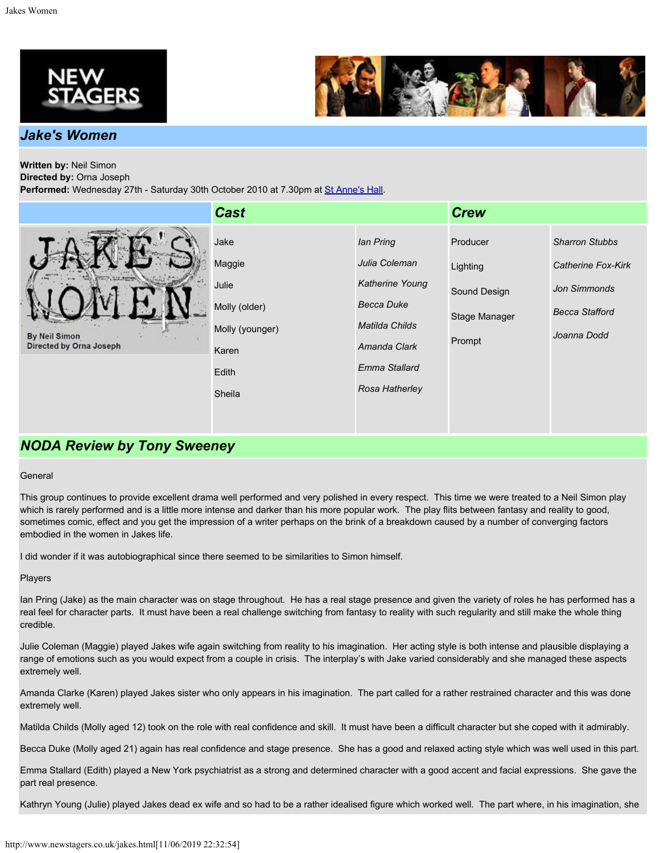



## *Jake's Women*

# **Written by:** Neil Simon

**Directed by:** Orna Joseph Performed: Wednesday 27th - Saturday 30th October 2010 at 7.30pm at [St Anne's Hall](http://www.newstagers.co.uk/directions.html).

|                                          | <b>Cast</b>                                                                             |                                                                                                                                         | <b>Crew</b>                                                     |                                                                                                            |
|------------------------------------------|-----------------------------------------------------------------------------------------|-----------------------------------------------------------------------------------------------------------------------------------------|-----------------------------------------------------------------|------------------------------------------------------------------------------------------------------------|
| By Neil Simon<br>Directed by Orna Joseph | Jake<br>Maggie<br>Julie<br>Molly (older)<br>Molly (younger)<br>Karen<br>Edith<br>Sheila | lan Pring<br>Julia Coleman<br>Katherine Young<br><b>Becca Duke</b><br>Matilda Childs<br>Amanda Clark<br>Emma Stallard<br>Rosa Hatherley | Producer<br>Lighting<br>Sound Design<br>Stage Manager<br>Prompt | <b>Sharron Stubbs</b><br>Catherine Fox-Kirk<br><b>Jon Simmonds</b><br><b>Becca Stafford</b><br>Joanna Dodd |

# *NODA Review by Tony Sweeney*

## **General**

This group continues to provide excellent drama well performed and very polished in every respect. This time we were treated to a Neil Simon play which is rarely performed and is a little more intense and darker than his more popular work. The play flits between fantasy and reality to good, sometimes comic, effect and you get the impression of a writer perhaps on the brink of a breakdown caused by a number of converging factors embodied in the women in Jakes life.

I did wonder if it was autobiographical since there seemed to be similarities to Simon himself.

## Players

Ian Pring (Jake) as the main character was on stage throughout. He has a real stage presence and given the variety of roles he has performed has a real feel for character parts. It must have been a real challenge switching from fantasy to reality with such regularity and still make the whole thing credible.

Julie Coleman (Maggie) played Jakes wife again switching from reality to his imagination. Her acting style is both intense and plausible displaying a range of emotions such as you would expect from a couple in crisis. The interplay's with Jake varied considerably and she managed these aspects extremely well.

Amanda Clarke (Karen) played Jakes sister who only appears in his imagination. The part called for a rather restrained character and this was done extremely well.

Matilda Childs (Molly aged 12) took on the role with real confidence and skill. It must have been a difficult character but she coped with it admirably.

Becca Duke (Molly aged 21) again has real confidence and stage presence. She has a good and relaxed acting style which was well used in this part.

Emma Stallard (Edith) played a New York psychiatrist as a strong and determined character with a good accent and facial expressions. She gave the part real presence.

Kathryn Young (Julie) played Jakes dead ex wife and so had to be a rather idealised figure which worked well. The part where, in his imagination, she